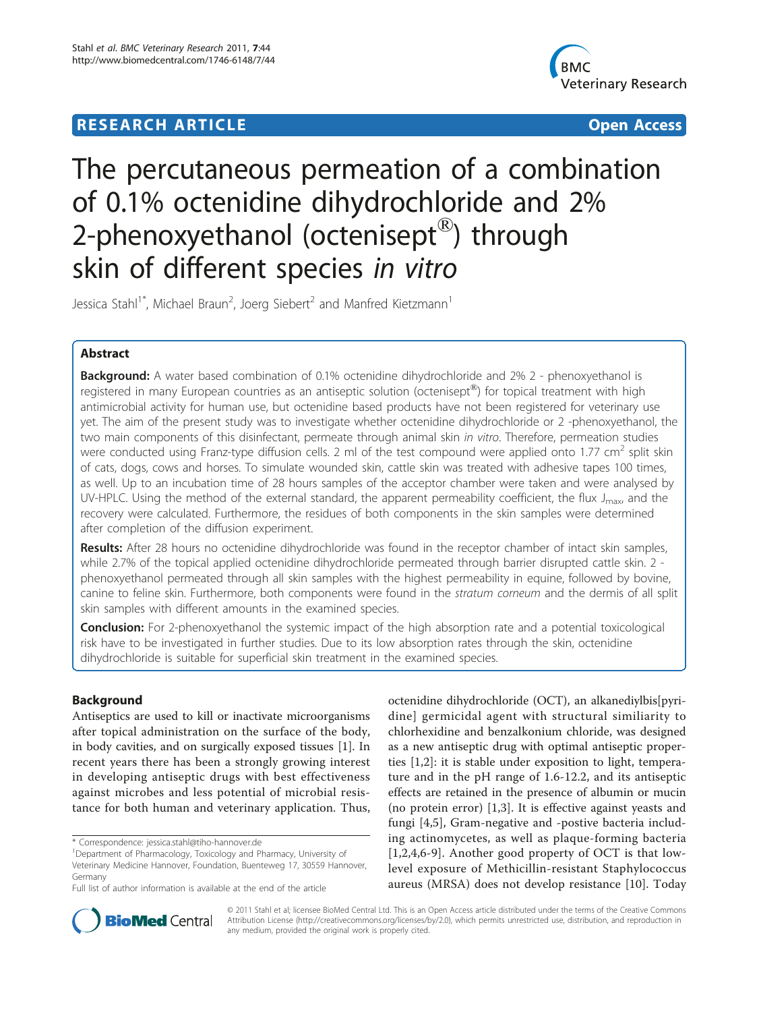# **RESEARCH ARTICLE External Structure Control Control Control Control Control Control Control Control Control Control Control Control Control Control Control Control Control Control Control Control Control Control Control**



# The percutaneous permeation of a combination of 0.1% octenidine dihydrochloride and 2% 2-phenoxyethanol (octenisept $^{\circledR}$ ) through skin of different species in vitro

Jessica Stahl<sup>1\*</sup>, Michael Braun<sup>2</sup>, Joerg Siebert<sup>2</sup> and Manfred Kietzmann<sup>1</sup>

# Abstract

**Background:** A water based combination of 0.1% octenidine dihydrochloride and 2% 2 - phenoxyethanol is registered in many European countries as an antiseptic solution (octenisept<sup>®</sup>) for topical treatment with high antimicrobial activity for human use, but octenidine based products have not been registered for veterinary use yet. The aim of the present study was to investigate whether octenidine dihydrochloride or 2 -phenoxyethanol, the two main components of this disinfectant, permeate through animal skin in vitro. Therefore, permeation studies were conducted using Franz-type diffusion cells. 2 ml of the test compound were applied onto 1.77 cm<sup>2</sup> split skin of cats, dogs, cows and horses. To simulate wounded skin, cattle skin was treated with adhesive tapes 100 times, as well. Up to an incubation time of 28 hours samples of the acceptor chamber were taken and were analysed by UV-HPLC. Using the method of the external standard, the apparent permeability coefficient, the flux  $J_{\text{max}}$ , and the recovery were calculated. Furthermore, the residues of both components in the skin samples were determined after completion of the diffusion experiment.

Results: After 28 hours no octenidine dihydrochloride was found in the receptor chamber of intact skin samples, while 2.7% of the topical applied octenidine dihydrochloride permeated through barrier disrupted cattle skin. 2 phenoxyethanol permeated through all skin samples with the highest permeability in equine, followed by bovine, canine to feline skin. Furthermore, both components were found in the stratum corneum and the dermis of all split skin samples with different amounts in the examined species.

**Conclusion:** For 2-phenoxyethanol the systemic impact of the high absorption rate and a potential toxicological risk have to be investigated in further studies. Due to its low absorption rates through the skin, octenidine dihydrochloride is suitable for superficial skin treatment in the examined species.

# Background

Antiseptics are used to kill or inactivate microorganisms after topical administration on the surface of the body, in body cavities, and on surgically exposed tissues [\[1](#page-4-0)]. In recent years there has been a strongly growing interest in developing antiseptic drugs with best effectiveness against microbes and less potential of microbial resistance for both human and veterinary application. Thus,

\* Correspondence: [jessica.stahl@tiho-hannover.de](mailto:jessica.stahl@tiho-hannover.de)

octenidine dihydrochloride (OCT), an alkanediylbis[pyridine] germicidal agent with structural similiarity to chlorhexidine and benzalkonium chloride, was designed as a new antiseptic drug with optimal antiseptic properties [\[1](#page-4-0),[2](#page-4-0)]: it is stable under exposition to light, temperature and in the pH range of 1.6-12.2, and its antiseptic effects are retained in the presence of albumin or mucin (no protein error) [[1,3\]](#page-4-0). It is effective against yeasts and fungi [[4](#page-4-0),[5\]](#page-4-0), Gram-negative and -postive bacteria including actinomycetes, as well as plaque-forming bacteria  $[1,2,4,6-9]$  $[1,2,4,6-9]$  $[1,2,4,6-9]$  $[1,2,4,6-9]$ . Another good property of OCT is that lowlevel exposure of Methicillin-resistant Staphylococcus aureus (MRSA) does not develop resistance [[10\]](#page-4-0). Today



© 2011 Stahl et al; licensee BioMed Central Ltd. This is an Open Access article distributed under the terms of the Creative Commons Attribution License [\(http://creativecommons.org/licenses/by/2.0](http://creativecommons.org/licenses/by/2.0)), which permits unrestricted use, distribution, and reproduction in any medium, provided the original work is properly cited.

<sup>&</sup>lt;sup>1</sup>Department of Pharmacology, Toxicology and Pharmacy, University of Veterinary Medicine Hannover, Foundation, Buenteweg 17, 30559 Hannover, Germany

Full list of author information is available at the end of the article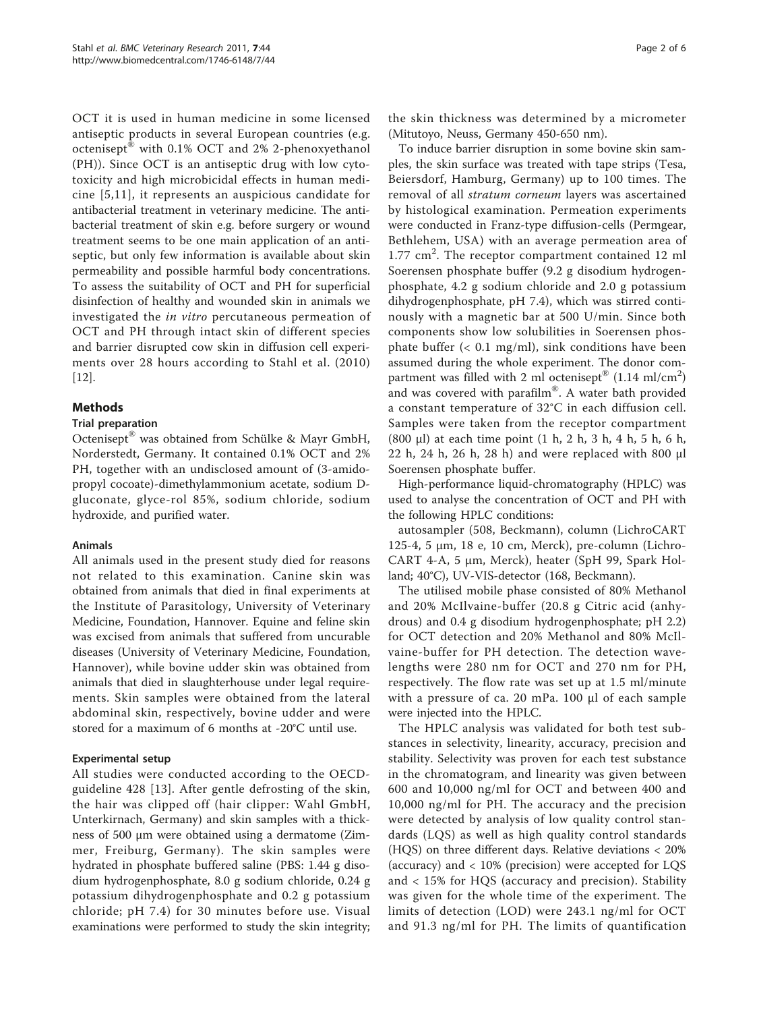OCT it is used in human medicine in some licensed antiseptic products in several European countries (e.g. octenisept® with 0.1% OCT and 2% 2-phenoxyethanol (PH)). Since OCT is an antiseptic drug with low cytotoxicity and high microbicidal effects in human medicine [[5](#page-4-0),[11](#page-4-0)], it represents an auspicious candidate for antibacterial treatment in veterinary medicine. The antibacterial treatment of skin e.g. before surgery or wound treatment seems to be one main application of an antiseptic, but only few information is available about skin permeability and possible harmful body concentrations. To assess the suitability of OCT and PH for superficial disinfection of healthy and wounded skin in animals we investigated the in vitro percutaneous permeation of OCT and PH through intact skin of different species and barrier disrupted cow skin in diffusion cell experiments over 28 hours according to Stahl et al. (2010) [[12\]](#page-4-0).

# Methods

# Trial preparation

Octenisept® was obtained from Schülke & Mayr GmbH, Norderstedt, Germany. It contained 0.1% OCT and 2% PH, together with an undisclosed amount of (3-amidopropyl cocoate)-dimethylammonium acetate, sodium Dgluconate, glyce-rol 85%, sodium chloride, sodium hydroxide, and purified water.

# Animals

All animals used in the present study died for reasons not related to this examination. Canine skin was obtained from animals that died in final experiments at the Institute of Parasitology, University of Veterinary Medicine, Foundation, Hannover. Equine and feline skin was excised from animals that suffered from uncurable diseases (University of Veterinary Medicine, Foundation, Hannover), while bovine udder skin was obtained from animals that died in slaughterhouse under legal requirements. Skin samples were obtained from the lateral abdominal skin, respectively, bovine udder and were stored for a maximum of 6 months at -20°C until use.

# Experimental setup

All studies were conducted according to the OECDguideline 428 [\[13\]](#page-4-0). After gentle defrosting of the skin, the hair was clipped off (hair clipper: Wahl GmbH, Unterkirnach, Germany) and skin samples with a thickness of 500 μm were obtained using a dermatome (Zimmer, Freiburg, Germany). The skin samples were hydrated in phosphate buffered saline (PBS: 1.44 g disodium hydrogenphosphate, 8.0 g sodium chloride, 0.24 g potassium dihydrogenphosphate and 0.2 g potassium chloride; pH 7.4) for 30 minutes before use. Visual examinations were performed to study the skin integrity; the skin thickness was determined by a micrometer (Mitutoyo, Neuss, Germany 450-650 nm).

To induce barrier disruption in some bovine skin samples, the skin surface was treated with tape strips (Tesa, Beiersdorf, Hamburg, Germany) up to 100 times. The removal of all stratum corneum layers was ascertained by histological examination. Permeation experiments were conducted in Franz-type diffusion-cells (Permgear, Bethlehem, USA) with an average permeation area of 1.77 cm<sup>2</sup>. The receptor compartment contained 12 ml Soerensen phosphate buffer (9.2 g disodium hydrogenphosphate, 4.2 g sodium chloride and 2.0 g potassium dihydrogenphosphate, pH 7.4), which was stirred continously with a magnetic bar at 500 U/min. Since both components show low solubilities in Soerensen phosphate buffer  $( $0.1 \text{ mg/ml}$ ), sink conditions have been$ assumed during the whole experiment. The donor compartment was filled with 2 ml octenisept®  $(1.14 \text{ ml/cm}^2)$ and was covered with parafilm®. A water bath provided a constant temperature of 32°C in each diffusion cell. Samples were taken from the receptor compartment (800 μl) at each time point (1 h, 2 h, 3 h, 4 h, 5 h, 6 h, 22 h, 24 h, 26 h, 28 h) and were replaced with 800 μl Soerensen phosphate buffer.

High-performance liquid-chromatography (HPLC) was used to analyse the concentration of OCT and PH with the following HPLC conditions:

autosampler (508, Beckmann), column (LichroCART 125-4, 5 μm, 18 e, 10 cm, Merck), pre-column (Lichro-CART 4-A, 5 μm, Merck), heater (SpH 99, Spark Holland; 40°C), UV-VIS-detector (168, Beckmann).

The utilised mobile phase consisted of 80% Methanol and 20% McIlvaine-buffer (20.8 g Citric acid (anhydrous) and 0.4 g disodium hydrogenphosphate; pH 2.2) for OCT detection and 20% Methanol and 80% McIlvaine-buffer for PH detection. The detection wavelengths were 280 nm for OCT and 270 nm for PH, respectively. The flow rate was set up at 1.5 ml/minute with a pressure of ca. 20 mPa. 100 μl of each sample were injected into the HPLC.

The HPLC analysis was validated for both test substances in selectivity, linearity, accuracy, precision and stability. Selectivity was proven for each test substance in the chromatogram, and linearity was given between 600 and 10,000 ng/ml for OCT and between 400 and 10,000 ng/ml for PH. The accuracy and the precision were detected by analysis of low quality control standards (LQS) as well as high quality control standards (HQS) on three different days. Relative deviations < 20% (accuracy) and < 10% (precision) were accepted for LQS and < 15% for HQS (accuracy and precision). Stability was given for the whole time of the experiment. The limits of detection (LOD) were 243.1 ng/ml for OCT and 91.3 ng/ml for PH. The limits of quantification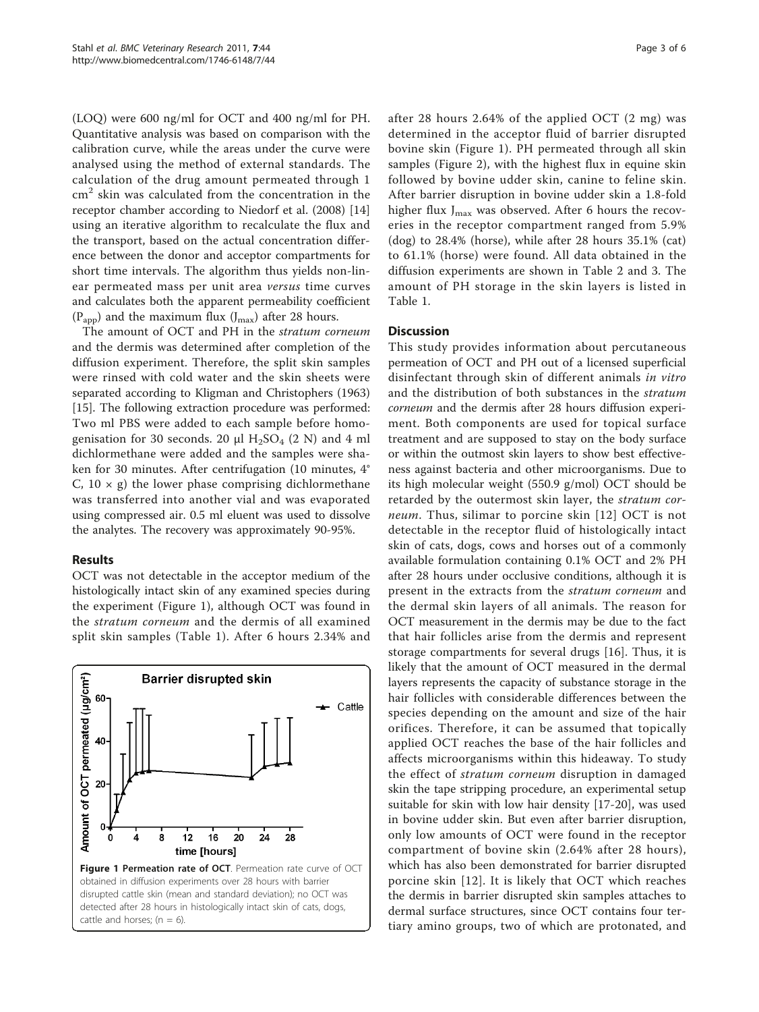(LOQ) were 600 ng/ml for OCT and 400 ng/ml for PH. Quantitative analysis was based on comparison with the calibration curve, while the areas under the curve were analysed using the method of external standards. The calculation of the drug amount permeated through 1  $cm<sup>2</sup>$  skin was calculated from the concentration in the receptor chamber according to Niedorf et al. (2008) [[14](#page-5-0)] using an iterative algorithm to recalculate the flux and the transport, based on the actual concentration difference between the donor and acceptor compartments for short time intervals. The algorithm thus yields non-linear permeated mass per unit area versus time curves and calculates both the apparent permeability coefficient  $(P_{app})$  and the maximum flux  $(J_{max})$  after 28 hours.

The amount of OCT and PH in the stratum corneum and the dermis was determined after completion of the diffusion experiment. Therefore, the split skin samples were rinsed with cold water and the skin sheets were separated according to Kligman and Christophers (1963) [[15\]](#page-5-0). The following extraction procedure was performed: Two ml PBS were added to each sample before homogenisation for 30 seconds. 20  $\mu$ l H<sub>2</sub>SO<sub>4</sub> (2 N) and 4 ml dichlormethane were added and the samples were shaken for 30 minutes. After centrifugation (10 minutes, 4° C,  $10 \times g$ ) the lower phase comprising dichlormethane was transferred into another vial and was evaporated using compressed air. 0.5 ml eluent was used to dissolve the analytes. The recovery was approximately 90-95%.

# Results

OCT was not detectable in the acceptor medium of the histologically intact skin of any examined species during the experiment (Figure 1), although OCT was found in the stratum corneum and the dermis of all examined split skin samples (Table [1](#page-3-0)). After 6 hours 2.34% and



after 28 hours 2.64% of the applied OCT (2 mg) was determined in the acceptor fluid of barrier disrupted bovine skin (Figure 1). PH permeated through all skin samples (Figure [2](#page-3-0)), with the highest flux in equine skin followed by bovine udder skin, canine to feline skin. After barrier disruption in bovine udder skin a 1.8-fold higher flux  $J_{\text{max}}$  was observed. After 6 hours the recoveries in the receptor compartment ranged from 5.9% (dog) to 28.4% (horse), while after 28 hours 35.1% (cat) to 61.1% (horse) were found. All data obtained in the diffusion experiments are shown in Table [2](#page-4-0) and [3](#page-4-0). The amount of PH storage in the skin layers is listed in Table [1.](#page-3-0)

# **Discussion**

This study provides information about percutaneous permeation of OCT and PH out of a licensed superficial disinfectant through skin of different animals in vitro and the distribution of both substances in the stratum corneum and the dermis after 28 hours diffusion experiment. Both components are used for topical surface treatment and are supposed to stay on the body surface or within the outmost skin layers to show best effectiveness against bacteria and other microorganisms. Due to its high molecular weight (550.9 g/mol) OCT should be retarded by the outermost skin layer, the *stratum cor-*neum. Thus, silimar to porcine skin [[12](#page-4-0)] OCT is not detectable in the receptor fluid of histologically intact skin of cats, dogs, cows and horses out of a commonly available formulation containing 0.1% OCT and 2% PH after 28 hours under occlusive conditions, although it is present in the extracts from the stratum corneum and the dermal skin layers of all animals. The reason for OCT measurement in the dermis may be due to the fact that hair follicles arise from the dermis and represent storage compartments for several drugs [\[16](#page-5-0)]. Thus, it is likely that the amount of OCT measured in the dermal layers represents the capacity of substance storage in the hair follicles with considerable differences between the species depending on the amount and size of the hair orifices. Therefore, it can be assumed that topically applied OCT reaches the base of the hair follicles and affects microorganisms within this hideaway. To study the effect of stratum corneum disruption in damaged skin the tape stripping procedure, an experimental setup suitable for skin with low hair density [\[17](#page-5-0)-[20\]](#page-5-0), was used in bovine udder skin. But even after barrier disruption, only low amounts of OCT were found in the receptor compartment of bovine skin (2.64% after 28 hours), which has also been demonstrated for barrier disrupted porcine skin [\[12\]](#page-4-0). It is likely that OCT which reaches the dermis in barrier disrupted skin samples attaches to dermal surface structures, since OCT contains four tertiary amino groups, two of which are protonated, and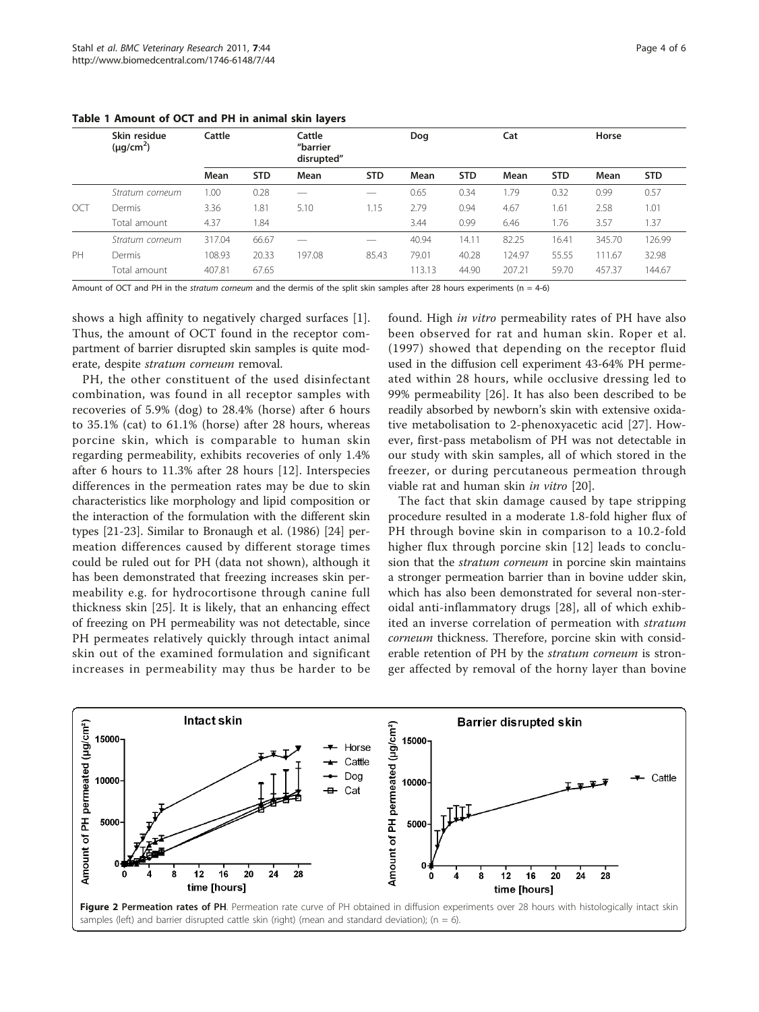|         | Skin residue<br>$(\mu g/cm^2)$ | Cattle |            | Cattle<br>"barrier<br>disrupted" |            | Dog    |            | Cat    |            | Horse  |            |  |
|---------|--------------------------------|--------|------------|----------------------------------|------------|--------|------------|--------|------------|--------|------------|--|
|         |                                | Mean   | <b>STD</b> | Mean                             | <b>STD</b> | Mean   | <b>STD</b> | Mean   | <b>STD</b> | Mean   | <b>STD</b> |  |
|         | Stratum corneum                | 1.00   | 0.28       | —                                |            | 0.65   | 0.34       | 1.79   | 0.32       | 0.99   | 0.57       |  |
| $\circ$ | Dermis                         | 3.36   | 81.،       | 5.10                             | 1.15       | 2.79   | 0.94       | 4.67   | 1.61       | 2.58   | 1.01       |  |
|         | Total amount                   | 4.37   | .84        |                                  |            | 3.44   | 0.99       | 6.46   | 1.76       | 3.57   | 1.37       |  |
|         | Stratum corneum                | 317.04 | 66.67      |                                  |            | 40.94  | 14.11      | 82.25  | 16.41      | 345.70 | 126.99     |  |
| PH      | Dermis                         | 108.93 | 20.33      | 197.08                           | 85.43      | 79.01  | 40.28      | 124.97 | 55.55      | 111.67 | 32.98      |  |
|         | Total amount                   | 407.81 | 67.65      |                                  |            | 113.13 | 44.90      | 207.21 | 59.70      | 457.37 | 144.67     |  |

<span id="page-3-0"></span>Table 1 Amount of OCT and PH in animal skin layers

Amount of OCT and PH in the stratum corneum and the dermis of the split skin samples after 28 hours experiments ( $n = 4-6$ )

shows a high affinity to negatively charged surfaces [\[1](#page-4-0)]. Thus, the amount of OCT found in the receptor compartment of barrier disrupted skin samples is quite moderate, despite stratum corneum removal.

PH, the other constituent of the used disinfectant combination, was found in all receptor samples with recoveries of 5.9% (dog) to 28.4% (horse) after 6 hours to 35.1% (cat) to 61.1% (horse) after 28 hours, whereas porcine skin, which is comparable to human skin regarding permeability, exhibits recoveries of only 1.4% after 6 hours to 11.3% after 28 hours [[12\]](#page-4-0). Interspecies differences in the permeation rates may be due to skin characteristics like morphology and lipid composition or the interaction of the formulation with the different skin types [[21-23](#page-5-0)]. Similar to Bronaugh et al. (1986) [[24](#page-5-0)] permeation differences caused by different storage times could be ruled out for PH (data not shown), although it has been demonstrated that freezing increases skin permeability e.g. for hydrocortisone through canine full thickness skin [\[25](#page-5-0)]. It is likely, that an enhancing effect of freezing on PH permeability was not detectable, since PH permeates relatively quickly through intact animal skin out of the examined formulation and significant increases in permeability may thus be harder to be

found. High in vitro permeability rates of PH have also been observed for rat and human skin. Roper et al. (1997) showed that depending on the receptor fluid used in the diffusion cell experiment 43-64% PH permeated within 28 hours, while occlusive dressing led to 99% permeability [[26](#page-5-0)]. It has also been described to be readily absorbed by newborn's skin with extensive oxidative metabolisation to 2-phenoxyacetic acid [[27](#page-5-0)]. However, first-pass metabolism of PH was not detectable in our study with skin samples, all of which stored in the freezer, or during percutaneous permeation through viable rat and human skin in vitro [[20\]](#page-5-0).

The fact that skin damage caused by tape stripping procedure resulted in a moderate 1.8-fold higher flux of PH through bovine skin in comparison to a 10.2-fold higher flux through porcine skin [[12\]](#page-4-0) leads to conclusion that the *stratum corneum* in porcine skin maintains a stronger permeation barrier than in bovine udder skin, which has also been demonstrated for several non-steroidal anti-inflammatory drugs [[28](#page-5-0)], all of which exhibited an inverse correlation of permeation with stratum corneum thickness. Therefore, porcine skin with considerable retention of PH by the stratum corneum is stronger affected by removal of the horny layer than bovine

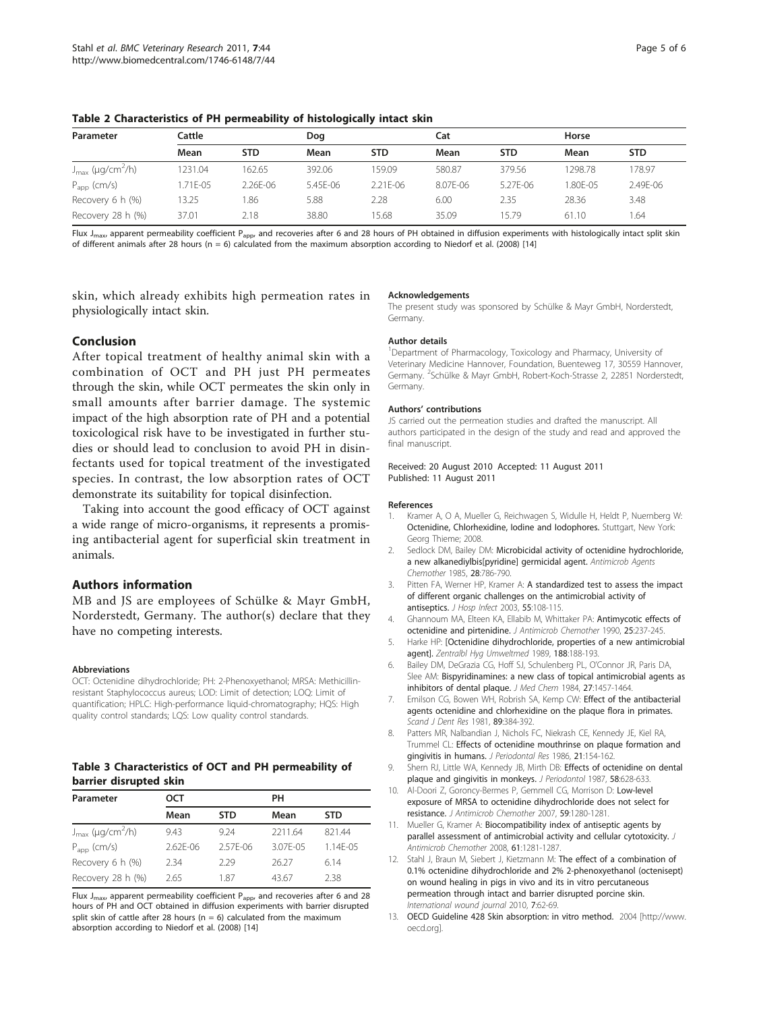| Parameter                                | Cattle   |            | Doa      |          | Cat      |            |         | Horse      |  |
|------------------------------------------|----------|------------|----------|----------|----------|------------|---------|------------|--|
|                                          | Mean     | <b>STD</b> | Mean     | STD.     | Mean     | <b>STD</b> | Mean    | <b>STD</b> |  |
| $J_{\text{max}}$ (µg/cm <sup>2</sup> /h) | 1231.04  | 162.65     | 392.06   | 159.09   | 580.87   | 379.56     | 1298.78 | 78.97      |  |
| $P_{app}$ (cm/s)                         | 1.71E-05 | 2.26E-06   | 5.45E-06 | 2.21E-06 | 8.07E-06 | 5.27E-06   | .80E-05 | 2.49E-06   |  |
| Recovery 6 h (%)                         | 13.25    | 1.86       | 5.88     | 2.28     | 6.00     | 2.35       | 28.36   | 3.48       |  |
| Recovery 28 h (%)                        | 37.01    | 2.18       | 38.80    | 15.68    | 35.09    | 15.79      | 61.10   | .64        |  |

<span id="page-4-0"></span>Table 2 Characteristics of PH permeability of histologically intact skin

Flux J<sub>max</sub>, apparent permeability coefficient P<sub>app</sub>, and recoveries after 6 and 28 hours of PH obtained in diffusion experiments with histologically intact split skin of different animals after 28 hours ( $n = 6$ ) calculated from the maximum absorption according to Niedorf et al. (2008) [\[14](#page-5-0)]

skin, which already exhibits high permeation rates in physiologically intact skin.

#### Conclusion

After topical treatment of healthy animal skin with a combination of OCT and PH just PH permeates through the skin, while OCT permeates the skin only in small amounts after barrier damage. The systemic impact of the high absorption rate of PH and a potential toxicological risk have to be investigated in further studies or should lead to conclusion to avoid PH in disinfectants used for topical treatment of the investigated species. In contrast, the low absorption rates of OCT demonstrate its suitability for topical disinfection.

Taking into account the good efficacy of OCT against a wide range of micro-organisms, it represents a promising antibacterial agent for superficial skin treatment in animals.

#### Authors information

MB and JS are employees of Schülke & Mayr GmbH, Norderstedt, Germany. The author(s) declare that they have no competing interests.

#### Abbreviations

OCT: Octenidine dihydrochloride; PH: 2-Phenoxyethanol; MRSA: Methicillinresistant Staphylococcus aureus; LOD: Limit of detection; LOQ: Limit of quantification; HPLC: High-performance liquid-chromatography; HQS: High quality control standards; LQS: Low quality control standards.

# Table 3 Characteristics of OCT and PH permeability of barrier disrupted skin

| Parameter                                | ост          |              | PH       |              |  |  |
|------------------------------------------|--------------|--------------|----------|--------------|--|--|
|                                          | Mean         | <b>STD</b>   | Mean     | <b>STD</b>   |  |  |
| $J_{\text{max}}$ (µg/cm <sup>2</sup> /h) | 9.43         | 9.24         | 2211.64  | 82144        |  |  |
| $P_{app}$ (cm/s)                         | $2.62F - 06$ | $2.57F - 06$ | 3.07F-05 | $1.14F - 05$ |  |  |
| Recovery 6 h (%)                         | 234          | 229          | 26.27    | 614          |  |  |
| Recovery 28 h (%)                        | 2.65         | 187          | 43.67    | 238          |  |  |

Flux  $J_{\text{max}}$  apparent permeability coefficient  $P_{\text{app}}$ , and recoveries after 6 and 28 hours of PH and OCT obtained in diffusion experiments with barrier disrupted split skin of cattle after 28 hours ( $n = 6$ ) calculated from the maximum absorption according to Niedorf et al. (2008) [[14\]](#page-5-0)

#### Acknowledgements

The present study was sponsored by Schülke & Mayr GmbH, Norderstedt, Germany.

#### Author details

<sup>1</sup>Department of Pharmacology, Toxicology and Pharmacy, University of Veterinary Medicine Hannover, Foundation, Buenteweg 17, 30559 Hannover, Germany. <sup>2</sup>Schülke & Mayr GmbH, Robert-Koch-Strasse 2, 22851 Norderstedt Germany.

#### Authors' contributions

JS carried out the permeation studies and drafted the manuscript. All authors participated in the design of the study and read and approved the final manuscript.

#### Received: 20 August 2010 Accepted: 11 August 2011 Published: 11 August 2011

#### References

- 1. Kramer A, O A, Mueller G, Reichwagen S, Widulle H, Heldt P, Nuernberg W: Octenidine, Chlorhexidine, Iodine and Iodophores. Stuttgart, New York: Georg Thieme; 2008.
- Sedlock DM, Bailey DM: [Microbicidal activity of octenidine hydrochloride,](http://www.ncbi.nlm.nih.gov/pubmed/3909955?dopt=Abstract) [a new alkanediylbis\[pyridine\] germicidal agent.](http://www.ncbi.nlm.nih.gov/pubmed/3909955?dopt=Abstract) Antimicrob Agents Chemother 1985, 28:786-790.
- 3. Pitten FA, Werner HP, Kramer A: [A standardized test to assess the impact](http://www.ncbi.nlm.nih.gov/pubmed/14529634?dopt=Abstract) [of different organic challenges on the antimicrobial activity of](http://www.ncbi.nlm.nih.gov/pubmed/14529634?dopt=Abstract) [antiseptics.](http://www.ncbi.nlm.nih.gov/pubmed/14529634?dopt=Abstract) J Hosp Infect 2003, 55:108-115.
- 4. Ghannoum MA, Elteen KA, Ellabib M, Whittaker PA: [Antimycotic effects of](http://www.ncbi.nlm.nih.gov/pubmed/2184158?dopt=Abstract) [octenidine and pirtenidine.](http://www.ncbi.nlm.nih.gov/pubmed/2184158?dopt=Abstract) J Antimicrob Chemother 1990, 25:237-245.
- 5. Harke HP: [\[Octenidine dihydrochloride, properties of a new antimicrobial](http://www.ncbi.nlm.nih.gov/pubmed/2757739?dopt=Abstract) [agent\].](http://www.ncbi.nlm.nih.gov/pubmed/2757739?dopt=Abstract) Zentralbl Hyg Umweltmed 1989, 188:188-193.
- 6. Bailey DM, DeGrazia CG, Hoff SJ, Schulenberg PL, O'Connor JR, Paris DA, Slee AM: [Bispyridinamines: a new class of topical antimicrobial agents as](http://www.ncbi.nlm.nih.gov/pubmed/6492075?dopt=Abstract) [inhibitors of dental plaque.](http://www.ncbi.nlm.nih.gov/pubmed/6492075?dopt=Abstract) J Med Chem 1984, 27:1457-1464.
- 7. Emilson CG, Bowen WH, Robrish SA, Kemp CW: [Effect of the antibacterial](http://www.ncbi.nlm.nih.gov/pubmed/6952538?dopt=Abstract) [agents octenidine and chlorhexidine on the plaque flora in primates.](http://www.ncbi.nlm.nih.gov/pubmed/6952538?dopt=Abstract) Scand J Dent Res 1981, 89:384-392.
- 8. Patters MR, Nalbandian J, Nichols FC, Niekrash CE, Kennedy JE, Kiel RA, Trummel CL: [Effects of octenidine mouthrinse on plaque formation and](http://www.ncbi.nlm.nih.gov/pubmed/2937903?dopt=Abstract) [gingivitis in humans.](http://www.ncbi.nlm.nih.gov/pubmed/2937903?dopt=Abstract) J Periodontal Res 1986, 21:154-162.
- 9. Shern RJ, Little WA, Kennedy JB, Mirth DB: [Effects of octenidine on dental](http://www.ncbi.nlm.nih.gov/pubmed/3477629?dopt=Abstract) [plaque and gingivitis in monkeys.](http://www.ncbi.nlm.nih.gov/pubmed/3477629?dopt=Abstract) J Periodontol 1987, 58:628-633.
- 10. Al-Doori Z, Goroncy-Bermes P, Gemmell CG, Morrison D: [Low-level](http://www.ncbi.nlm.nih.gov/pubmed/17439976?dopt=Abstract) [exposure of MRSA to octenidine dihydrochloride does not select for](http://www.ncbi.nlm.nih.gov/pubmed/17439976?dopt=Abstract) [resistance.](http://www.ncbi.nlm.nih.gov/pubmed/17439976?dopt=Abstract) J Antimicrob Chemother 2007, 59:1280-1281.
- 11. Mueller G, Kramer A: [Biocompatibility index of antiseptic agents by](http://www.ncbi.nlm.nih.gov/pubmed/18364400?dopt=Abstract) [parallel assessment of antimicrobial activity and cellular cytotoxicity.](http://www.ncbi.nlm.nih.gov/pubmed/18364400?dopt=Abstract) J Antimicrob Chemother 2008, 61:1281-1287.
- 12. Stahl J, Braun M, Siebert J, Kietzmann M: [The effect of a combination of](http://www.ncbi.nlm.nih.gov/pubmed/20409252?dopt=Abstract) [0.1% octenidine dihydrochloride and 2% 2-phenoxyethanol \(octenisept\)](http://www.ncbi.nlm.nih.gov/pubmed/20409252?dopt=Abstract) [on wound healing in pigs in vivo and its in vitro percutaneous](http://www.ncbi.nlm.nih.gov/pubmed/20409252?dopt=Abstract) [permeation through intact and barrier disrupted porcine skin.](http://www.ncbi.nlm.nih.gov/pubmed/20409252?dopt=Abstract) International wound journal 2010, 7:62-69.
- 13. OECD Guideline 428 Skin absorption: in vitro method. 2004 [\[http://www.](http://www.oecd.org) [oecd.org\]](http://www.oecd.org).